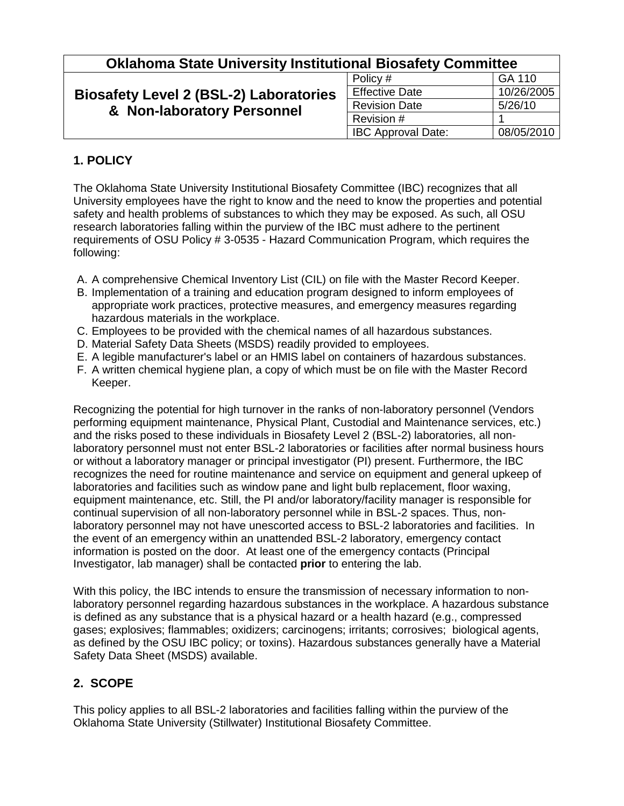| <b>Oklahoma State University Institutional Biosafety Committee</b>          |                           |            |
|-----------------------------------------------------------------------------|---------------------------|------------|
| <b>Biosafety Level 2 (BSL-2) Laboratories</b><br>& Non-laboratory Personnel | Policy #                  | GA 110     |
|                                                                             | <b>Effective Date</b>     | 10/26/2005 |
|                                                                             | <b>Revision Date</b>      | 5/26/10    |
|                                                                             | Revision #                |            |
|                                                                             | <b>IBC Approval Date:</b> | 08/05/2010 |

## **1. POLICY**

The Oklahoma State University Institutional Biosafety Committee (IBC) recognizes that all University employees have the right to know and the need to know the properties and potential safety and health problems of substances to which they may be exposed. As such, all OSU research laboratories falling within the purview of the IBC must adhere to the pertinent requirements of OSU Policy # 3-0535 - Hazard Communication Program, which requires the following:

- A. A comprehensive Chemical Inventory List (CIL) on file with the Master Record Keeper.
- B. Implementation of a training and education program designed to inform employees of appropriate work practices, protective measures, and emergency measures regarding hazardous materials in the workplace.
- C. Employees to be provided with the chemical names of all hazardous substances.
- D. Material Safety Data Sheets (MSDS) readily provided to employees.
- E. A legible manufacturer's label or an HMIS label on containers of hazardous substances.
- F. A written chemical hygiene plan, a copy of which must be on file with the Master Record Keeper.

Recognizing the potential for high turnover in the ranks of non-laboratory personnel (Vendors performing equipment maintenance, Physical Plant, Custodial and Maintenance services, etc.) and the risks posed to these individuals in Biosafety Level 2 (BSL-2) laboratories, all nonlaboratory personnel must not enter BSL-2 laboratories or facilities after normal business hours or without a laboratory manager or principal investigator (PI) present. Furthermore, the IBC recognizes the need for routine maintenance and service on equipment and general upkeep of laboratories and facilities such as window pane and light bulb replacement, floor waxing, equipment maintenance, etc. Still, the PI and/or laboratory/facility manager is responsible for continual supervision of all non-laboratory personnel while in BSL-2 spaces. Thus, nonlaboratory personnel may not have unescorted access to BSL-2 laboratories and facilities. In the event of an emergency within an unattended BSL-2 laboratory, emergency contact information is posted on the door. At least one of the emergency contacts (Principal Investigator, lab manager) shall be contacted **prior** to entering the lab.

With this policy, the IBC intends to ensure the transmission of necessary information to nonlaboratory personnel regarding hazardous substances in the workplace. A hazardous substance is defined as any substance that is a physical hazard or a health hazard (e.g., compressed gases; explosives; flammables; oxidizers; carcinogens; irritants; corrosives; biological agents, as defined by the OSU IBC policy; or toxins). Hazardous substances generally have a Material Safety Data Sheet (MSDS) available.

## **2. SCOPE**

This policy applies to all BSL-2 laboratories and facilities falling within the purview of the Oklahoma State University (Stillwater) Institutional Biosafety Committee.